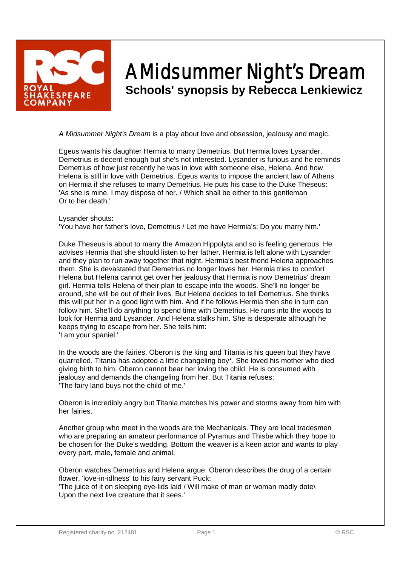

## A Midsummer Night's Dream **Schools' synopsis by Rebecca Lenkiewicz**

*A Midsummer Night's Dream* is a play about love and obsession, jealousy and magic.

Egeus wants his daughter Hermia to marry Demetrius. But Hermia loves Lysander. Demetrius is decent enough but she's not interested. Lysander is furious and he reminds Demetrius of how just recently he was in love with someone else, Helena. And how Helena is still in love with Demetrius. Egeus wants to impose the ancient law of Athens on Hermia if she refuses to marry Demetrius. He puts his case to the Duke Theseus: 'As she is mine, I may dispose of her. / Which shall be either to this gentleman Or to her death.'

## Lysander shouts:

'You have her father's love, Demetrius / Let me have Hermia's: Do you marry him.'

Duke Theseus is about to marry the Amazon Hippolyta and so is feeling generous. He advises Hermia that she should listen to her father. Hermia is left alone with Lysander and they plan to run away together that night. Hermia's best friend Helena approaches them. She is devastated that Demetrius no longer loves her. Hermia tries to comfort Helena but Helena cannot get over her jealousy that Hermia is now Demetrius' dream girl. Hermia tells Helena of their plan to escape into the woods. She'll no longer be around, she will be out of their lives. But Helena decides to tell Demetrius. She thinks this will put her in a good light with him. And if he follows Hermia then she in turn can follow him. She'll do anything to spend time with Demetrius. He runs into the woods to look for Hermia and Lysander. And Helena stalks him. She is desperate although he keeps trying to escape from her. She tells him: 'I am your spaniel.'

In the woods are the fairies. Oberon is the king and Titania is his queen but they have quarrelled. Titania has adopted a little changeling boy\*. She loved his mother who died giving birth to him. Oberon cannot bear her loving the child. He is consumed with jealousy and demands the changeling from her. But Titania refuses: 'The fairy land buys not the child of me.'

Oberon is incredibly angry but Titania matches his power and storms away from him with her fairies.

Another group who meet in the woods are the Mechanicals. They are local tradesmen who are preparing an amateur performance of Pyramus and Thisbe which they hope to be chosen for the Duke's wedding. Bottom the weaver is a keen actor and wants to play every part, male, female and animal.

Oberon watches Demetrius and Helena argue. Oberon describes the drug of a certain flower, 'love-in-idlness' to his fairy servant Puck:

'The juice of it on sleeping eye-lids laid / Will make of man or woman madly dote\ Upon the next live creature that it sees.'